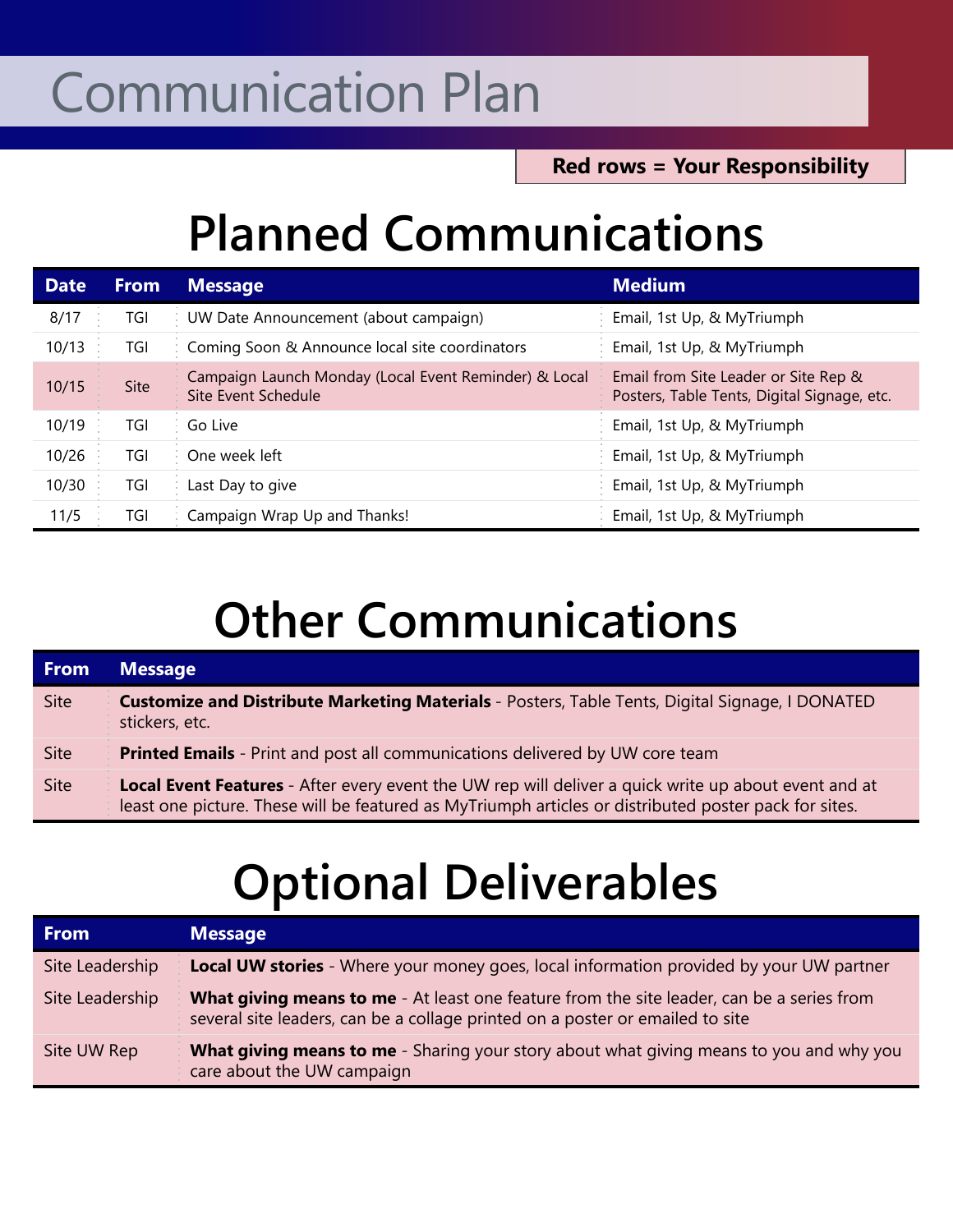## Communication Plan

**Red rows = Your Responsibility**

## **Planned Communications**

| <b>Date</b> | <b>From</b> | <b>Message</b>                                                               | <b>Medium</b>                                                                       |
|-------------|-------------|------------------------------------------------------------------------------|-------------------------------------------------------------------------------------|
| 8/17        | TGI         | UW Date Announcement (about campaign)                                        | Email, 1st Up, & MyTriumph                                                          |
| 10/13       | TGI         | Coming Soon & Announce local site coordinators                               | Email, 1st Up, & MyTriumph                                                          |
| 10/15       | Site        | Campaign Launch Monday (Local Event Reminder) & Local<br>Site Event Schedule | Email from Site Leader or Site Rep &<br>Posters, Table Tents, Digital Signage, etc. |
| 10/19       | TGI         | Go Live                                                                      | Email, 1st Up, & MyTriumph                                                          |
| 10/26       | TGI         | One week left                                                                | Email, 1st Up, & MyTriumph                                                          |
| 10/30       | TGI         | Last Day to give                                                             | Email, 1st Up, & MyTriumph                                                          |
| 11/5        | TGI         | Campaign Wrap Up and Thanks!                                                 | Email, 1st Up, & MyTriumph                                                          |

## **Other Communications**

| <b>From</b> | <b>Message</b>                                                                                                                                                                                                       |  |
|-------------|----------------------------------------------------------------------------------------------------------------------------------------------------------------------------------------------------------------------|--|
| <b>Site</b> | Customize and Distribute Marketing Materials - Posters, Table Tents, Digital Signage, I DONATED<br>stickers, etc.                                                                                                    |  |
| <b>Site</b> | <b>Printed Emails</b> - Print and post all communications delivered by UW core team                                                                                                                                  |  |
| <b>Site</b> | <b>Local Event Features</b> - After every event the UW rep will deliver a quick write up about event and at<br>least one picture. These will be featured as MyTriumph articles or distributed poster pack for sites. |  |

## **Optional Deliverables**

| <b>From</b>     | <b>Message</b>                                                                                                                                                                    |
|-----------------|-----------------------------------------------------------------------------------------------------------------------------------------------------------------------------------|
| Site Leadership | <b>Local UW stories</b> - Where your money goes, local information provided by your UW partner                                                                                    |
| Site Leadership | <b>What giving means to me</b> - At least one feature from the site leader, can be a series from<br>several site leaders, can be a collage printed on a poster or emailed to site |
| Site UW Rep     | <b>What giving means to me</b> - Sharing your story about what giving means to you and why you<br>care about the UW campaign                                                      |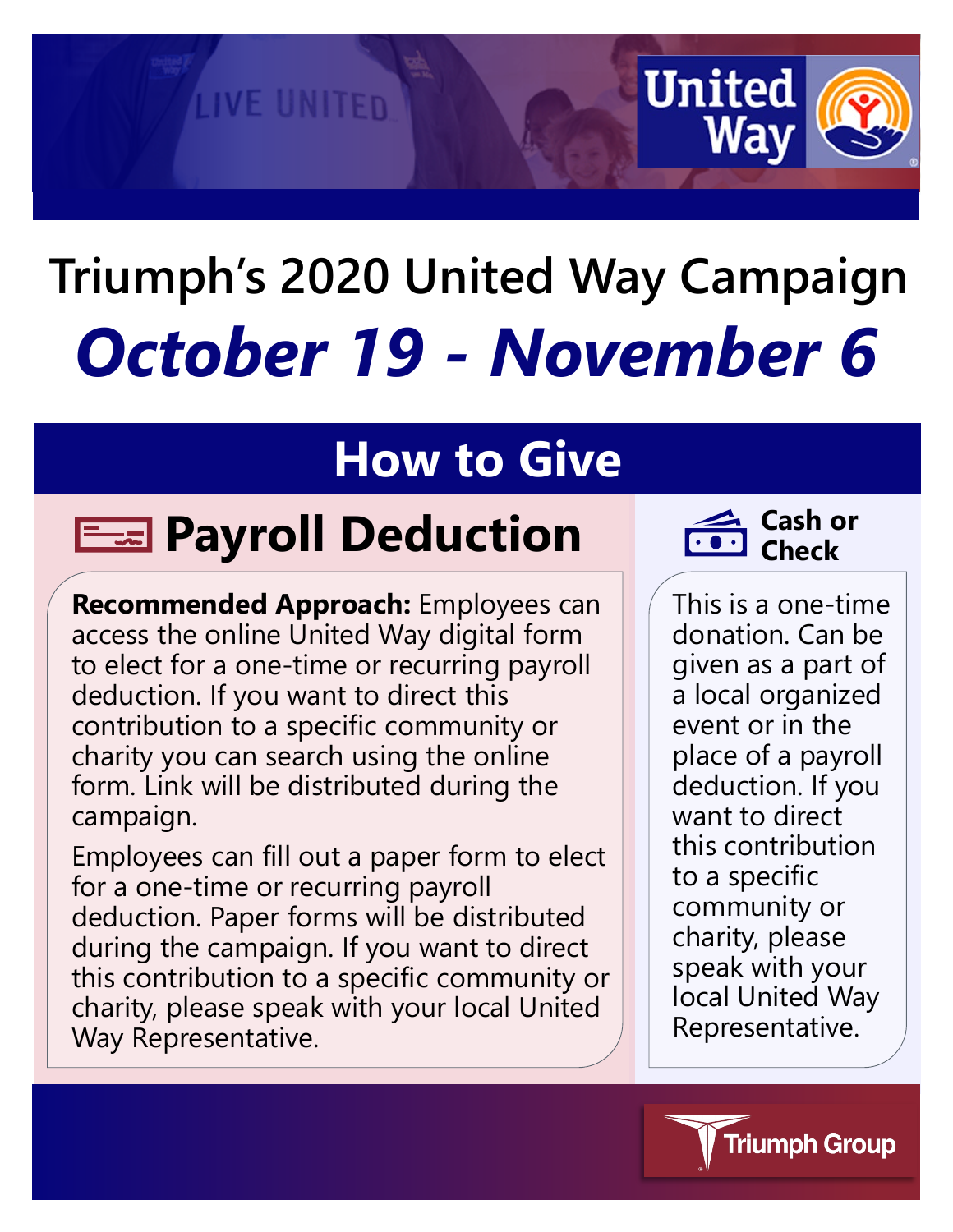# **2020 United Way Campaign** *October 19 - November 6*

## **How to Give**

# **Payroll Deduction Cash or**

**LIVE UNITED** 

**Recommended Approach:** Employees can access the online United Way digital form to elect for a one-time or recurring payroll deduction. If you want to direct this contribution to a specific community or charity you can search using the online form. Link will be distributed during the campaign.

Employees can fill out a paper form to elect for a one-time or recurring payroll deduction. Paper forms will be distributed during the campaign. If you want to direct this contribution to a specific community or charity, please speak with your local United Way Representative.



**United** 

Wa

This is a one-time donation. Can be given as a part of a local organized event or in the place of a payroll deduction. If you want to direct this contribution to a specific community or charity, please speak with your local United Way Representative.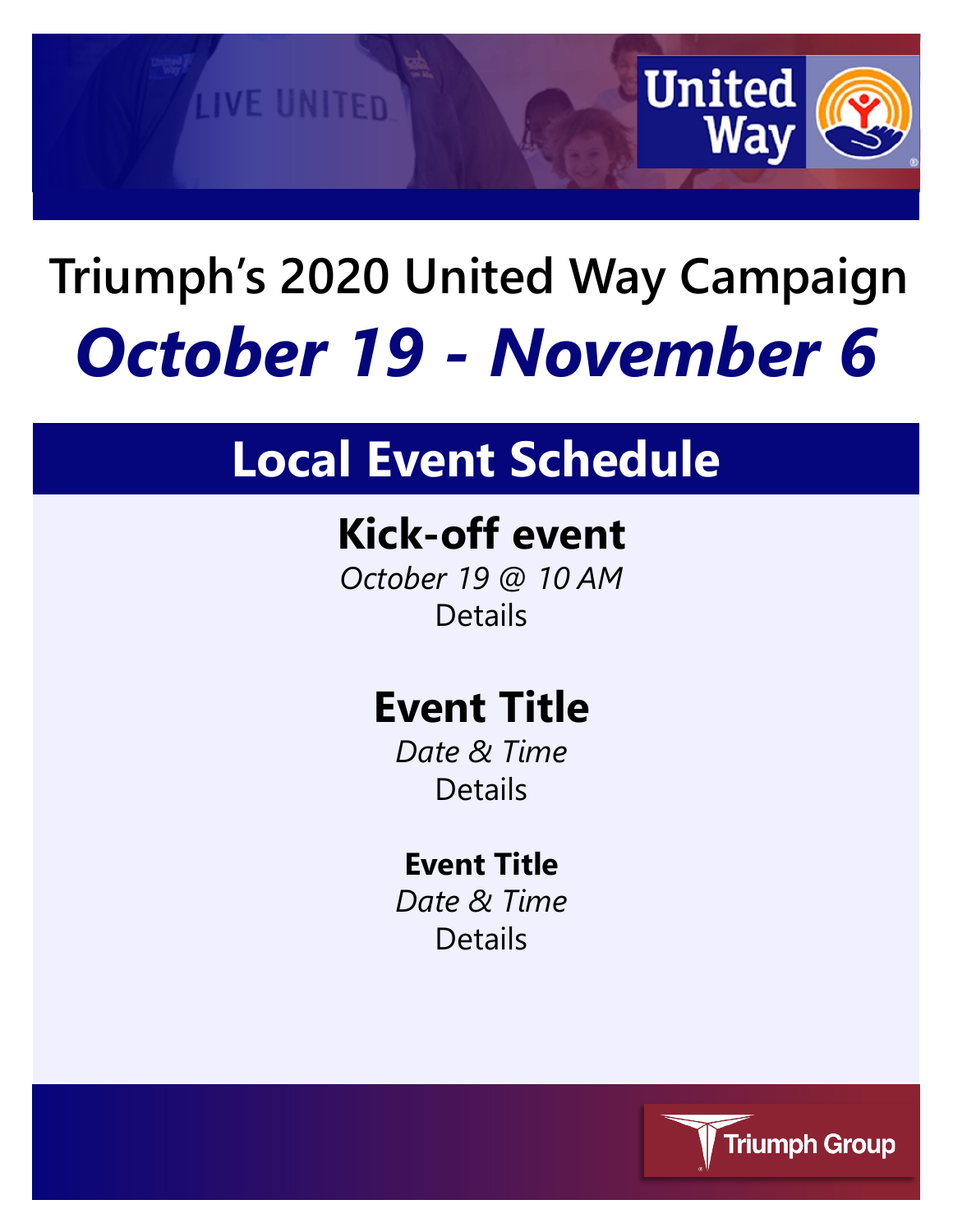

# **XXX 2020 United Way Campaign** *October 19 - November 6*

## **Local Event Schedule**

## **Kick-off event**

*October 19 @ 10 AM* Details

## **Event Title**

*Date & Time* Details

### **Event Title**

*Date & Time* Details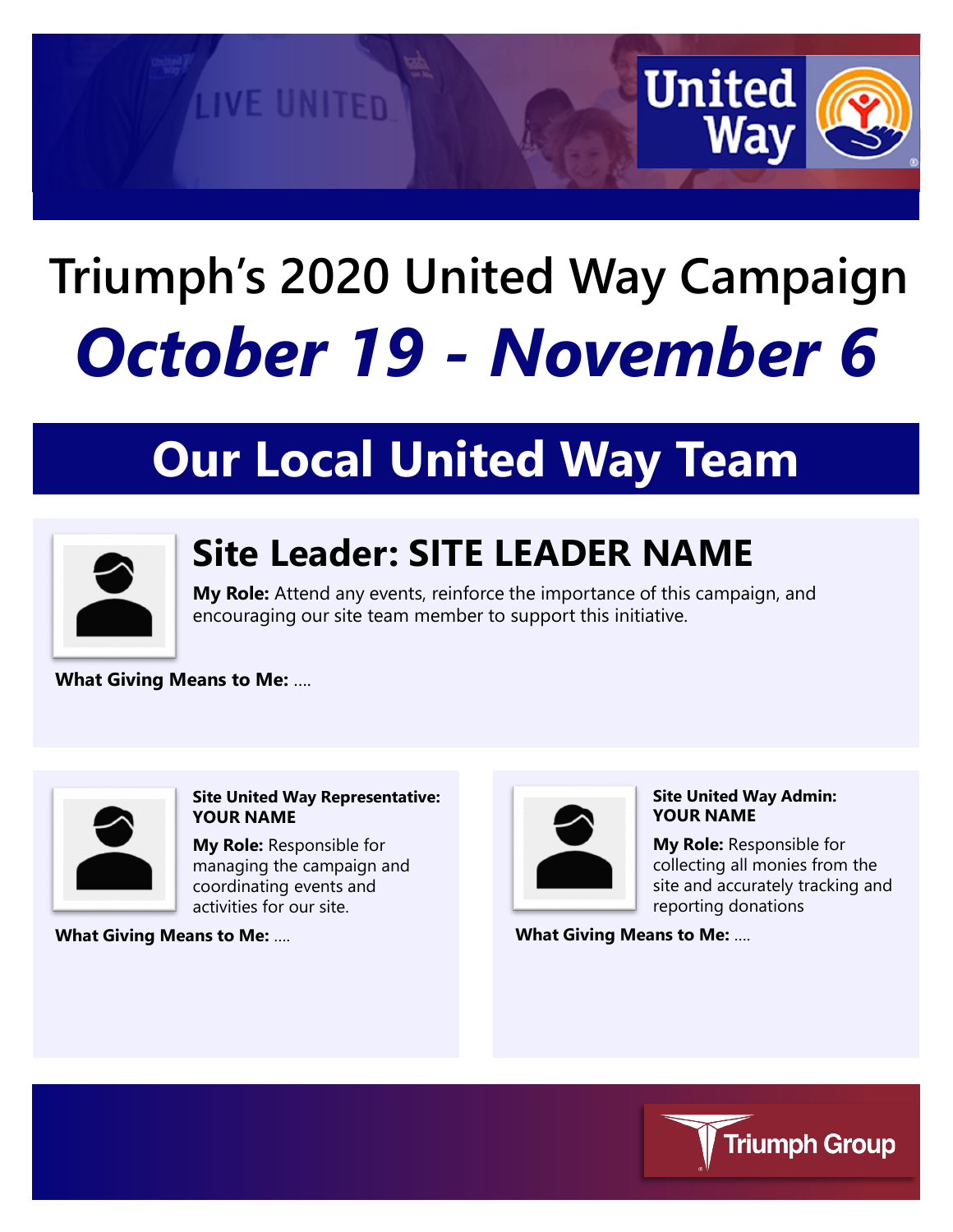

# **XXX 2020 United Way Campaign** *October 19 - November 6*

# **Our Local United Way Team**



## **Site Leader: SITE LEADER NAME**

**My Role:** Attend any events, reinforce the importance of this campaign, and encouraging our site team member to support this initiative.

**What Giving Means to Me:** ….



#### **Site United Way Representative: YOUR NAME**

**My Role:** Responsible for managing the campaign and coordinating events and activities for our site.

**What Giving Means to Me:** ….



#### **Site United Way Admin: YOUR NAME**

**My Role:** Responsible for collecting all monies from the site and accurately tracking and reporting donations

**What Giving Means to Me:** ….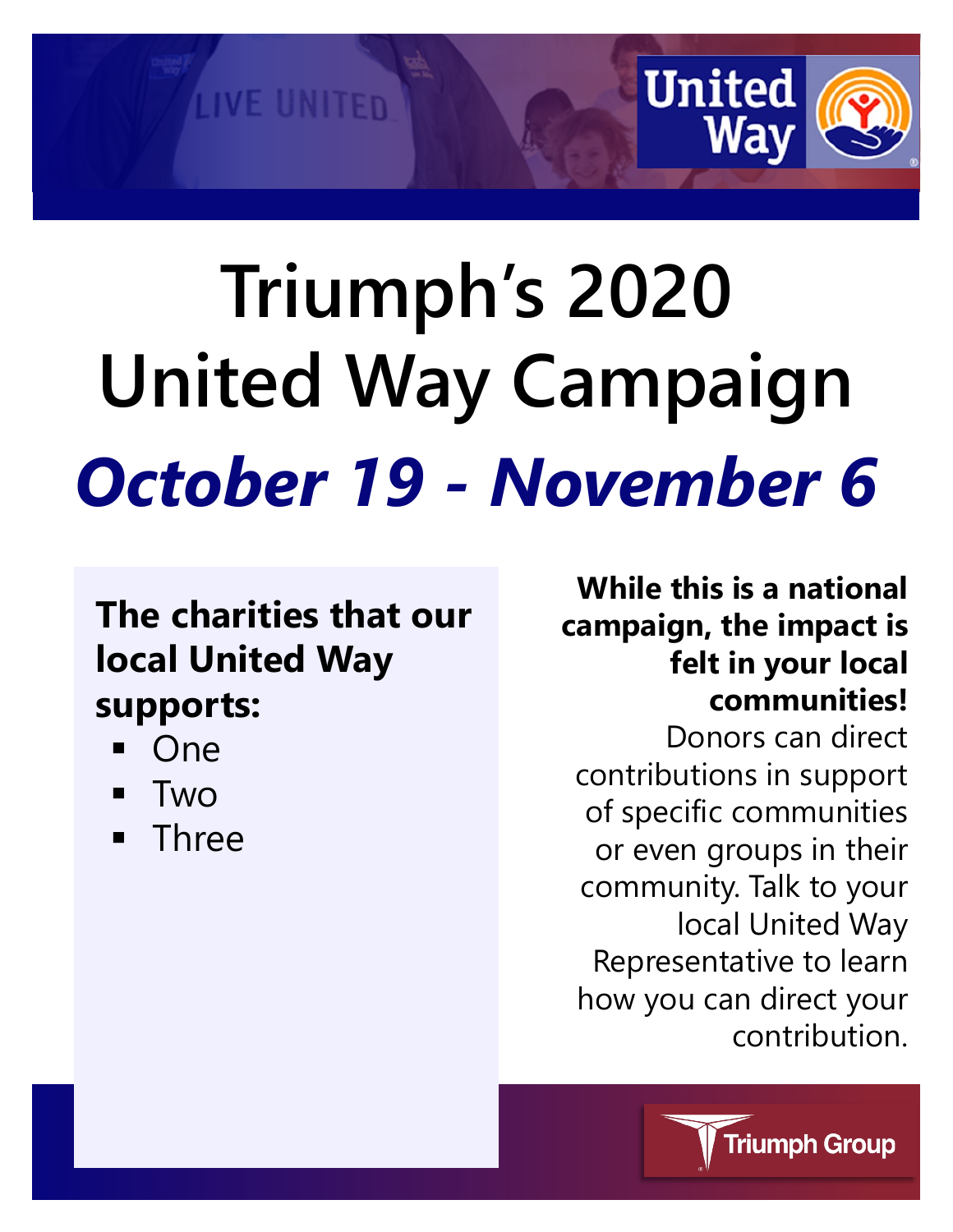

# **XXX 2020 United Way Campaign** *October 19 - November 6*

## **The charities that our local United Way supports:**

- One
- Two
- **Three**

**While this is a national campaign, the impact is felt in your local communities!**

Donors can direct contributions in support of specific communities or even groups in their community. Talk to your local United Way Representative to learn how you can direct your contribution.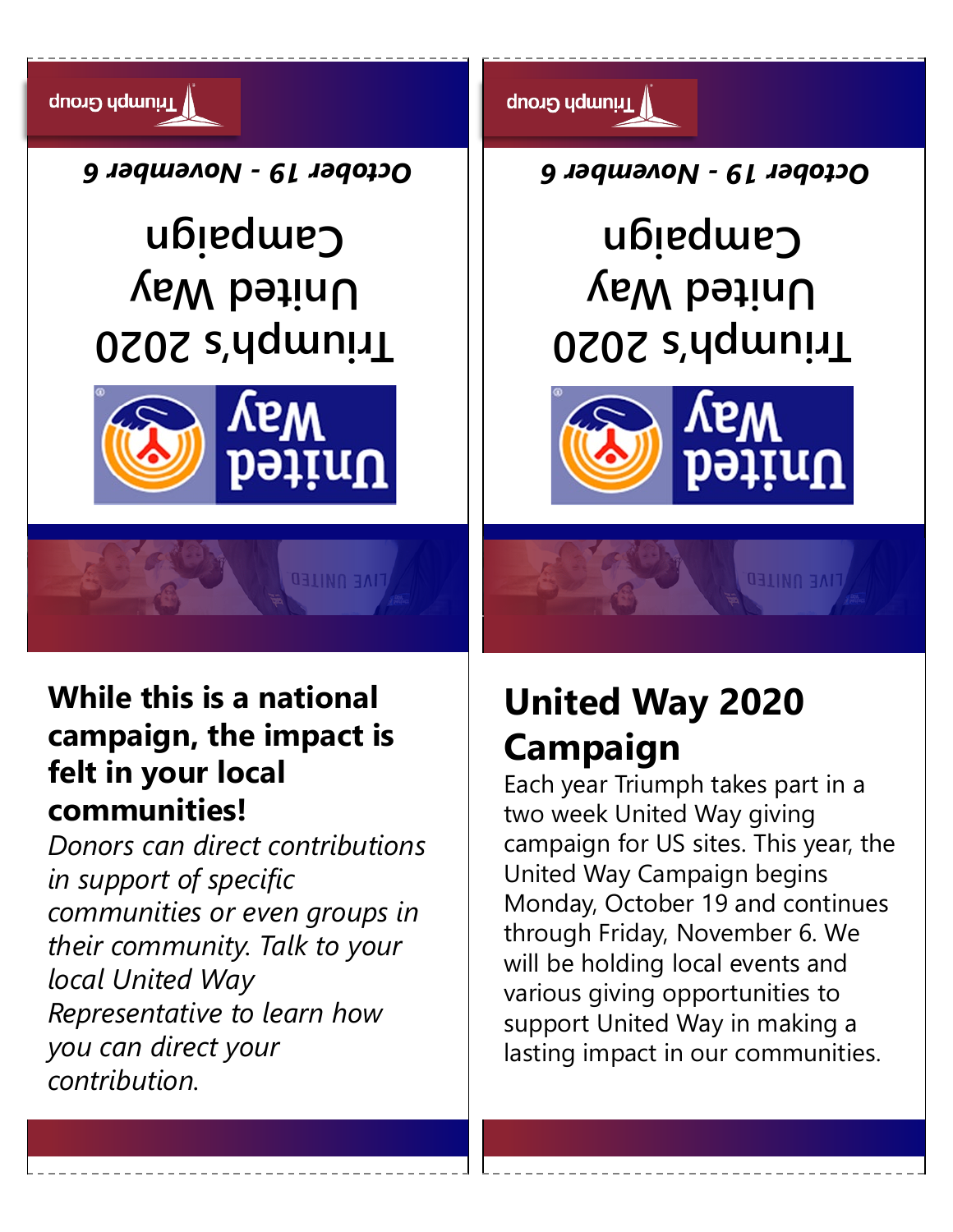

### **While this is a national campaign, the impact is felt in your local communities!**

*Donors can direct contributions in support of specific communities or even groups in their community. Talk to your local United Way Representative to learn how you can direct your contribution.*

## **United Way 2020 Campaign**

Each year XXX takes part in a two week United Way giving campaign for US sites. This year, the United Way Campaign begins Monday, October 19 and continues through Friday, November 6. We will be holding local events and various giving opportunities to support United Way in making a lasting impact in our communities.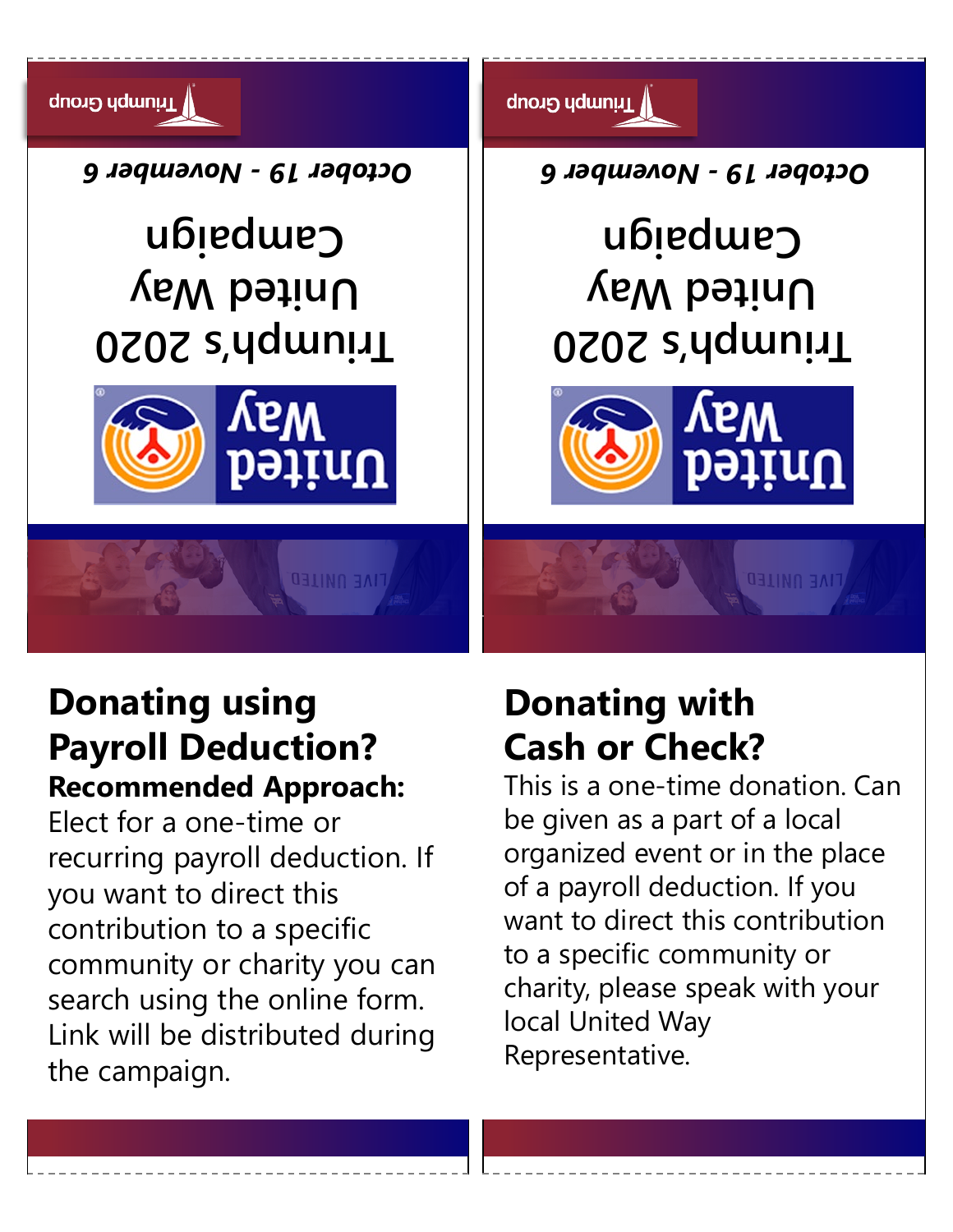

### **Donating using Payroll Deduction? Recommended Approach:**

Elect for a one-time or recurring payroll deduction. If you want to direct this contribution to a specific community or charity you can search using the online form. Link will be distributed during the campaign.

## **Donating with Cash or Check?**

This is a one-time donation. Can be given as a part of a local organized event or in the place of a payroll deduction. If you want to direct this contribution to a specific community or charity, please speak with your local United Way Representative.